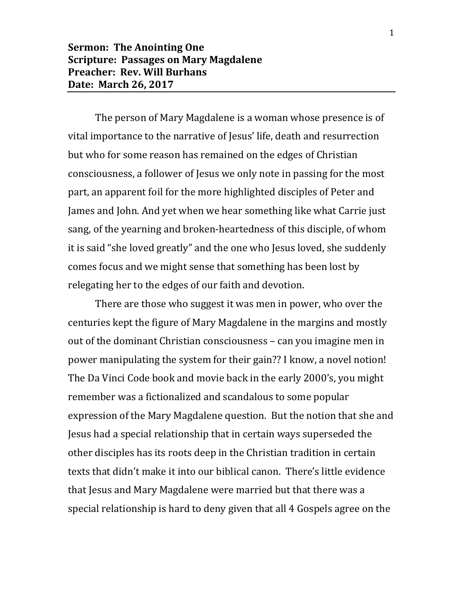## **Sermon: The Anointing One Scripture: Passages on Mary Magdalene Preacher: Rev. Will Burhans Date: March 26, 2017**

The person of Mary Magdalene is a woman whose presence is of vital importance to the narrative of Jesus' life, death and resurrection but who for some reason has remained on the edges of Christian consciousness, a follower of Jesus we only note in passing for the most part, an apparent foil for the more highlighted disciples of Peter and James and John. And yet when we hear something like what Carrie just sang, of the yearning and broken-heartedness of this disciple, of whom it is said "she loved greatly" and the one who Jesus loved, she suddenly comes focus and we might sense that something has been lost by relegating her to the edges of our faith and devotion.

There are those who suggest it was men in power, who over the centuries kept the figure of Mary Magdalene in the margins and mostly out of the dominant Christian consciousness – can you imagine men in power manipulating the system for their gain?? I know, a novel notion! The Da Vinci Code book and movie back in the early 2000's, you might remember was a fictionalized and scandalous to some popular expression of the Mary Magdalene question. But the notion that she and Jesus had a special relationship that in certain ways superseded the other disciples has its roots deep in the Christian tradition in certain texts that didn't make it into our biblical canon. There's little evidence that Jesus and Mary Magdalene were married but that there was a special relationship is hard to deny given that all 4 Gospels agree on the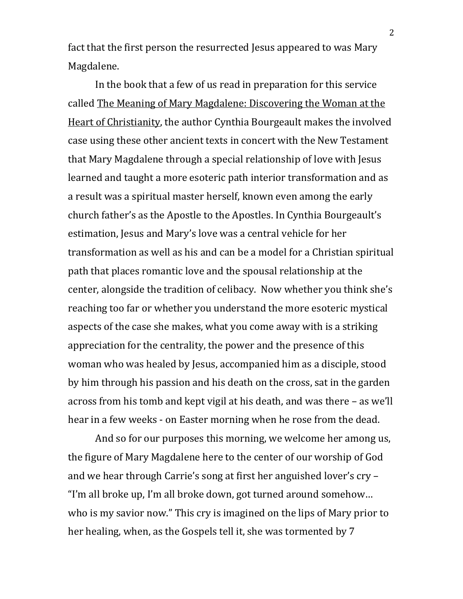fact that the first person the resurrected Jesus appeared to was Mary Magdalene.

In the book that a few of us read in preparation for this service called The Meaning of Mary Magdalene: Discovering the Woman at the Heart of Christianity, the author Cynthia Bourgeault makes the involved case using these other ancient texts in concert with the New Testament that Mary Magdalene through a special relationship of love with Jesus learned and taught a more esoteric path interior transformation and as a result was a spiritual master herself, known even among the early church father's as the Apostle to the Apostles. In Cynthia Bourgeault's estimation, Jesus and Mary's love was a central vehicle for her transformation as well as his and can be a model for a Christian spiritual path that places romantic love and the spousal relationship at the center, alongside the tradition of celibacy. Now whether you think she's reaching too far or whether you understand the more esoteric mystical aspects of the case she makes, what you come away with is a striking appreciation for the centrality, the power and the presence of this woman who was healed by Jesus, accompanied him as a disciple, stood by him through his passion and his death on the cross, sat in the garden across from his tomb and kept vigil at his death, and was there – as we'll hear in a few weeks - on Easter morning when he rose from the dead.

And so for our purposes this morning, we welcome her among us, the figure of Mary Magdalene here to the center of our worship of God and we hear through Carrie's song at first her anguished lover's cry – "I'm all broke up, I'm all broke down, got turned around somehow… who is my savior now." This cry is imagined on the lips of Mary prior to her healing, when, as the Gospels tell it, she was tormented by 7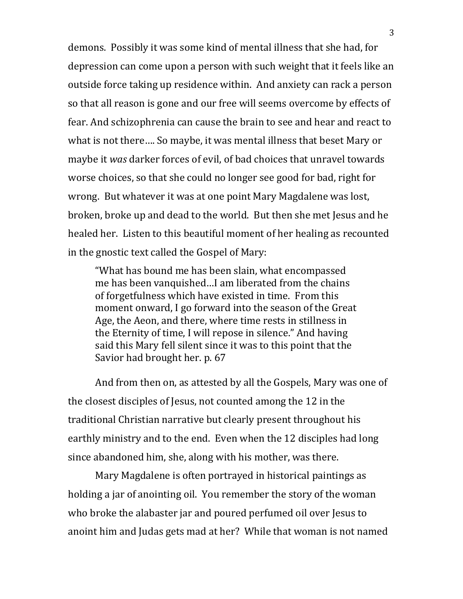demons. Possibly it was some kind of mental illness that she had, for depression can come upon a person with such weight that it feels like an outside force taking up residence within. And anxiety can rack a person so that all reason is gone and our free will seems overcome by effects of fear. And schizophrenia can cause the brain to see and hear and react to what is not there…. So maybe, it was mental illness that beset Mary or maybe it *was* darker forces of evil, of bad choices that unravel towards worse choices, so that she could no longer see good for bad, right for wrong. But whatever it was at one point Mary Magdalene was lost, broken, broke up and dead to the world. But then she met Jesus and he healed her. Listen to this beautiful moment of her healing as recounted in the gnostic text called the Gospel of Mary:

"What has bound me has been slain, what encompassed me has been vanquished…I am liberated from the chains of forgetfulness which have existed in time. From this moment onward, I go forward into the season of the Great Age, the Aeon, and there, where time rests in stillness in the Eternity of time, I will repose in silence." And having said this Mary fell silent since it was to this point that the Savior had brought her. p. 67

And from then on, as attested by all the Gospels, Mary was one of the closest disciples of Jesus, not counted among the 12 in the traditional Christian narrative but clearly present throughout his earthly ministry and to the end. Even when the 12 disciples had long since abandoned him, she, along with his mother, was there.

Mary Magdalene is often portrayed in historical paintings as holding a jar of anointing oil. You remember the story of the woman who broke the alabaster jar and poured perfumed oil over Jesus to anoint him and Judas gets mad at her? While that woman is not named